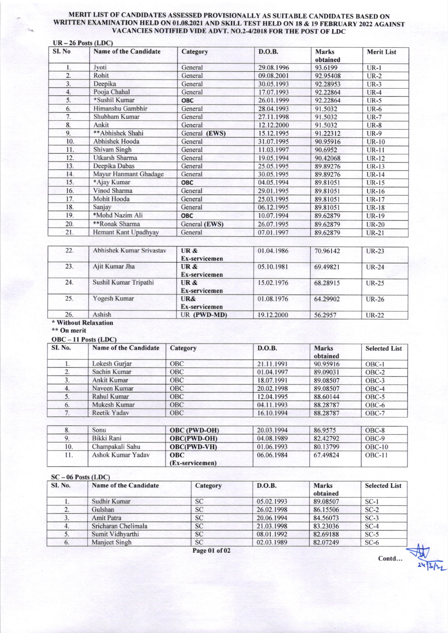#### MERIT LIST OF CANDIDATES ASSESSED PROVISIONALLY AS SUITABLE CANDIDATES BASED ON WRJTTEN EXAMINATION HELD ON OI.O8.2O2T AND SKILL TEST HELD ON I8 & I9 FEBRUARY 2022 AGAINST VACANCIES NOTIFIED VIDE ADVT. NO.2-420T8 FOR THE POST OF LDC

| SI. No | Name of the Candidate | Category      | D.O.B.     | <b>Marks</b><br>obtained | <b>Merit List</b> |
|--------|-----------------------|---------------|------------|--------------------------|-------------------|
| l.     | Jyoti                 | General       | 29.08.1996 | 93.6199                  | $UR-1$            |
| 2.     | Rohit                 | General       | 09.08.2001 | 92.95408                 | $UR-2$            |
| 3.     | Deepika               | General       | 30.05.1993 | 92.28953                 | $UR-3$            |
| 4.     | Pooja Chahal          | General       | 17.07.1993 | 92.22864                 | $UR-4$            |
| 5.     | *Sushil Kumar         | OBC           | 26.01.1999 | 92.22864                 | $UR-5$            |
| 6.     | Himanshu Gambhir      | General       | 28.04.1993 | 91.5032                  | $UR-6$            |
| 7.     | Shubham Kumar         | General       | 27.11.1998 | 91.5032                  | $UR-7$            |
| 8.     | Ankit                 | General       | 12.12.2000 | 91.5032                  | $UR-8$            |
| 9.     | ** Abhishek Shahi     | General (EWS) | 15.12.1995 | 91.22312                 | $UR-9$            |
| 10.    | Abhishek Hooda        | General       | 31.07.1995 | 90.95916                 | <b>UR-10</b>      |
| 11.    | Shivam Singh          | General       | 11.03.1997 | 90.6952                  | <b>UR-11</b>      |
| 12.    | Utkarsh Sharma        | General       | 19.05.1994 | 90.42068                 | UR-12             |
| 13.    | Deepika Dabas         | General       | 25.05.1995 | 89.89276                 | <b>UR-13</b>      |
| 14.    | Mayur Hanmant Ghadage | General       | 30.05.1995 | 89.89276                 | $UR-14$           |
| 15.    | *Ajay Kumar           | <b>OBC</b>    | 04.05.1994 | 89.81051                 | $UR-15$           |
| 16.    | Vinod Sharma          | General       | 29.01.1995 | 89.81051                 | $UR-16$           |
| 17.    | Mohit Hooda           | General       | 25.03.1995 | 89.81051                 | <b>UR-17</b>      |
| 18.    | Sanjay                | General       | 06.12.1995 | 89.81051                 | <b>UR-18</b>      |
| 19.    | *Mohd Nazim Ali       | <b>OBC</b>    | 10.07.1994 | 89.62879                 | UR-19             |
| 20.    | **Ronak Sharma        | General (EWS) | 26.07.1995 | 89.62879                 | <b>UR-20</b>      |
| 21.    | Hemant Kant Upadhyay  | General       | 07.01.1997 | 89.62879                 | <b>UR-21</b>      |

| Abhishek Kumar Srivastav<br>22. |                       | UR &<br>Ex-servicemen | 01.04.1986 | 70.96142 | <b>UR-23</b> |
|---------------------------------|-----------------------|-----------------------|------------|----------|--------------|
| 23.                             | Ajit Kumar Jha        | UR &<br>Ex-servicemen | 05.10.1981 | 69.49821 | $UR-24$      |
| 24.                             | Sushil Kumar Tripathi | UR &<br>Ex-servicemen | 15.02.1976 | 68.28915 | $UR-25$      |
| 25.                             | Yogesh Kumar          | UR&<br>Ex-servicemen  | 01.08.1976 | 64.29902 | UR-26        |
| 26.                             | Ashish                | UR (PWD-MD)           | 19.12.2000 | 56.2957  | <b>UR-22</b> |

## Without Relaxation

# \*\* On merit

|  | $OBC - II$ Posts (LDC) |  |
|--|------------------------|--|
|  |                        |  |

| <b>SI. No.</b> | Name of the Candidate | Category   | D.O.B.     | Marks<br>obtained | <b>Selected List</b> |  |
|----------------|-----------------------|------------|------------|-------------------|----------------------|--|
|                | Lokesh Gurjar         | <b>OBC</b> | 21.11.1991 | 90.95916          | $OBC-1$              |  |
|                | Sachin Kumar          | <b>OBC</b> | 01.04.1997 | 89.09031          | $OBC-2$              |  |
| 3.             | Ankit Kumar           | <b>OBC</b> | 18.07.1991 | 89.08507          | $OBC-3$              |  |
| 4.             | Naveen Kumar          | <b>OBC</b> | 20.02.1998 | 89.08507          | $OBC-4$              |  |
| 5.             | Rahul Kumar           | <b>OBC</b> | 12.04.1995 | 88.60144          | $OBC-5$              |  |
| 6.             | Mukesh Kumar          | <b>OBC</b> | 04.11.1993 | 88.28787          | $OBC-6$              |  |
| 7.             | Reetik Yadav          | <b>OBC</b> | 16.10.1994 | 88,28787          | OBC-7                |  |

|     | Sonu              | <b>OBC</b> (PWD-OH)           | 20.03.1994 | 86.9575  | OBC-8    |  |
|-----|-------------------|-------------------------------|------------|----------|----------|--|
|     | Bikki Rani        | <b>OBC(PWD-OH)</b>            | 04.08.1989 | 82.42792 | $OBC-9$  |  |
| 10. | Champakali Sahu   | <b>OBC(PWD-VH)</b>            | 01.06.1993 | 80.13799 | $OBC-10$ |  |
| 11. | Ashok Kumar Yadav | <b>OBC</b><br>(Ex-servicemen) | 06.06.1984 | 67.49824 | $OBC-11$ |  |

### $SC - 06$  Posts (LDC)

| <b>SI. No.</b> | Name of the Candidate | Category      | D.O.B.     | <b>Marks</b><br>obtained | <b>Selected List</b> |
|----------------|-----------------------|---------------|------------|--------------------------|----------------------|
|                | Sudhir Kumar          | <b>SC</b>     | 05.02.1993 | 89.08507                 | $SC-1$               |
|                | Gulshan               | <b>SC</b>     | 26.02.1998 | 86.15506                 | $SC-2$               |
| 3.             | <b>Amit Patra</b>     | <b>SC</b>     | 20.06.1994 | 84.56073                 | $SC-3$               |
|                | Sricharan Chelimala   | <b>SC</b>     | 21.03.1998 | 83.23036                 | $SC-4$               |
|                | Sumit Vidhyarthi      | <b>SC</b>     | 08.01.1992 | 82.69188                 | $SC-5$               |
| 6.             | Manjeet Singh         | <b>SC</b>     | 02.03.1989 | 82.07249                 | $SC-6$               |
|                |                       | Page 01 of 02 |            |                          | Contd                |